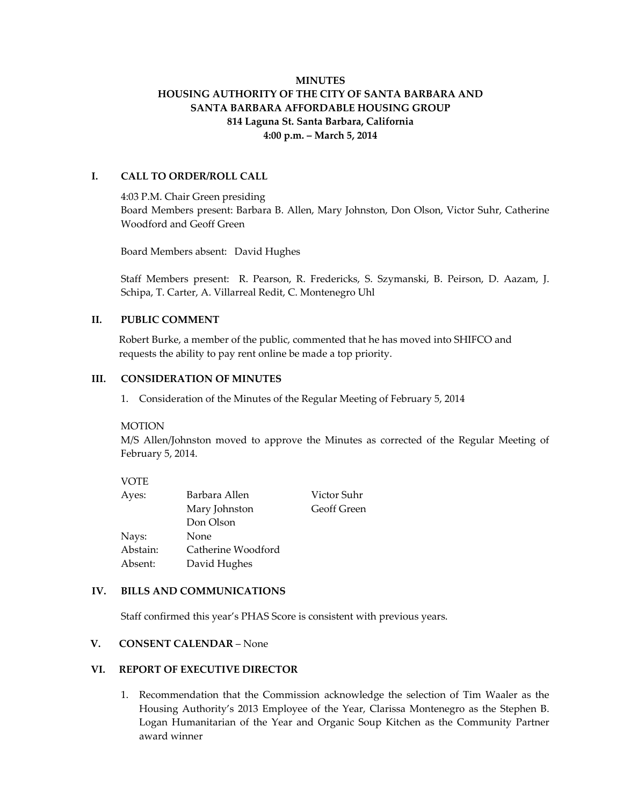# **MINUTES HOUSING AUTHORITY OF THE CITY OF SANTA BARBARA AND SANTA BARBARA AFFORDABLE HOUSING GROUP 814 Laguna St. Santa Barbara, California 4:00 p.m. – March 5, 2014**

## **I. CALL TO ORDER/ROLL CALL**

4:03 P.M. Chair Green presiding Board Members present: Barbara B. Allen, Mary Johnston, Don Olson, Victor Suhr, Catherine Woodford and Geoff Green

Board Members absent: David Hughes

Staff Members present: R. Pearson, R. Fredericks, S. Szymanski, B. Peirson, D. Aazam, J. Schipa, T. Carter, A. Villarreal Redit, C. Montenegro Uhl

#### **II. PUBLIC COMMENT**

Robert Burke, a member of the public, commented that he has moved into SHIFCO and requests the ability to pay rent online be made a top priority.

#### **III. CONSIDERATION OF MINUTES**

1. Consideration of the Minutes of the Regular Meeting of February 5, 2014

#### **MOTION**

M/S Allen/Johnston moved to approve the Minutes as corrected of the Regular Meeting of February 5, 2014.

#### VOTE

| Ayes:    | Barbara Allen      | Victor Suhr        |
|----------|--------------------|--------------------|
|          | Mary Johnston      | <b>Geoff Green</b> |
|          | Don Olson          |                    |
| Nays:    | None               |                    |
| Abstain: | Catherine Woodford |                    |
| Absent:  | David Hughes       |                    |

#### **IV. BILLS AND COMMUNICATIONS**

Staff confirmed this year's PHAS Score is consistent with previous years.

# **V. CONSENT CALENDAR** – None

#### **VI. REPORT OF EXECUTIVE DIRECTOR**

1. Recommendation that the Commission acknowledge the selection of Tim Waaler as the Housing Authority's 2013 Employee of the Year, Clarissa Montenegro as the Stephen B. Logan Humanitarian of the Year and Organic Soup Kitchen as the Community Partner award winner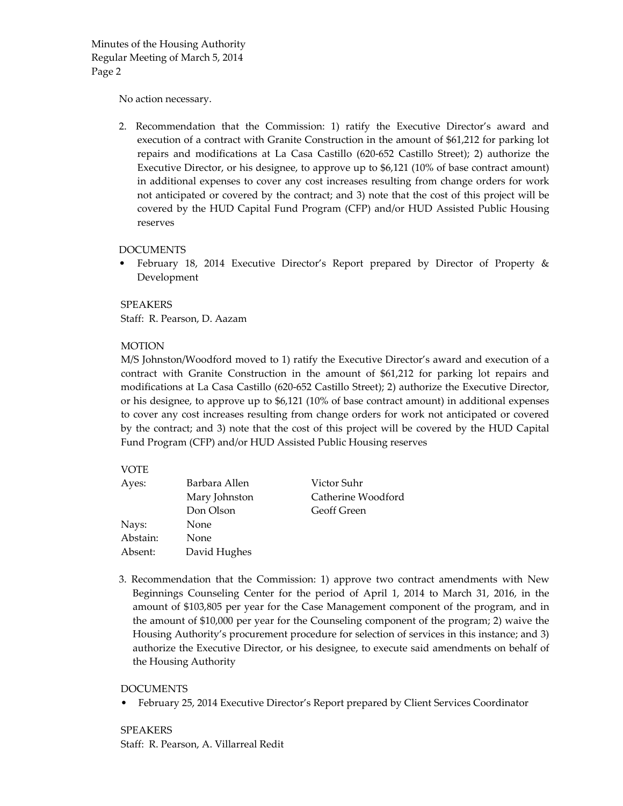No action necessary.

2. Recommendation that the Commission: 1) ratify the Executive Director's award and execution of a contract with Granite Construction in the amount of \$61,212 for parking lot repairs and modifications at La Casa Castillo (620‐652 Castillo Street); 2) authorize the Executive Director, or his designee, to approve up to \$6,121 (10% of base contract amount) in additional expenses to cover any cost increases resulting from change orders for work not anticipated or covered by the contract; and 3) note that the cost of this project will be covered by the HUD Capital Fund Program (CFP) and/or HUD Assisted Public Housing reserves

#### DOCUMENTS

• February 18, 2014 Executive Director's Report prepared by Director of Property & Development

SPEAKERS Staff: R. Pearson, D. Aazam

#### MOTION

M/S Johnston/Woodford moved to 1) ratify the Executive Director's award and execution of a contract with Granite Construction in the amount of \$61,212 for parking lot repairs and modifications at La Casa Castillo (620‐652 Castillo Street); 2) authorize the Executive Director, or his designee, to approve up to \$6,121 (10% of base contract amount) in additional expenses to cover any cost increases resulting from change orders for work not anticipated or covered by the contract; and 3) note that the cost of this project will be covered by the HUD Capital Fund Program (CFP) and/or HUD Assisted Public Housing reserves

## VOTE

| Ayes:    | Barbara Allen | Victor Suhr        |  |
|----------|---------------|--------------------|--|
|          | Mary Johnston | Catherine Woodford |  |
|          | Don Olson     | Geoff Green        |  |
| Nays:    | None          |                    |  |
| Abstain: | None          |                    |  |
| Absent:  | David Hughes  |                    |  |

3. Recommendation that the Commission: 1) approve two contract amendments with New Beginnings Counseling Center for the period of April 1, 2014 to March 31, 2016, in the amount of \$103,805 per year for the Case Management component of the program, and in the amount of \$10,000 per year for the Counseling component of the program; 2) waive the Housing Authority's procurement procedure for selection of services in this instance; and 3) authorize the Executive Director, or his designee, to execute said amendments on behalf of the Housing Authority

#### DOCUMENTS

• February 25, 2014 Executive Director's Report prepared by Client Services Coordinator

SPEAKERS Staff: R. Pearson, A. Villarreal Redit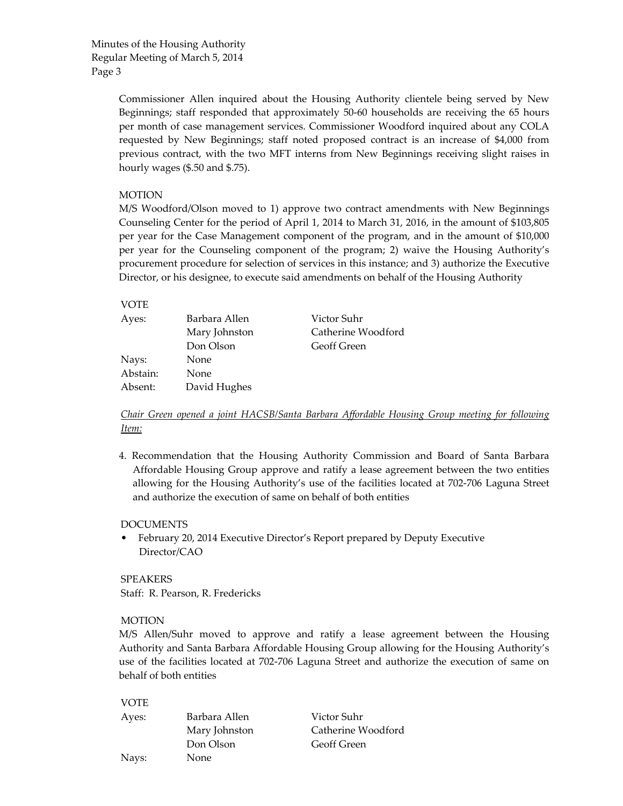> Commissioner Allen inquired about the Housing Authority clientele being served by New Beginnings; staff responded that approximately 50‐60 households are receiving the 65 hours per month of case management services. Commissioner Woodford inquired about any COLA requested by New Beginnings; staff noted proposed contract is an increase of \$4,000 from previous contract, with the two MFT interns from New Beginnings receiving slight raises in hourly wages (\$.50 and \$.75).

## MOTION

M/S Woodford/Olson moved to 1) approve two contract amendments with New Beginnings Counseling Center for the period of April 1, 2014 to March 31, 2016, in the amount of \$103,805 per year for the Case Management component of the program, and in the amount of \$10,000 per year for the Counseling component of the program; 2) waive the Housing Authority's procurement procedure for selection of services in this instance; and 3) authorize the Executive Director, or his designee, to execute said amendments on behalf of the Housing Authority

# VOTE

| Barbara Allen | Victor Suhr<br>Catherine Woodford |
|---------------|-----------------------------------|
| Don Olson     | Geoff Green                       |
| None          |                                   |
| None          |                                   |
| David Hughes  |                                   |
|               | Mary Johnston                     |

## *Chair Green opened a joint HACSB/Santa Barbara Affordable Housing Group meeting for following Item:*

4. Recommendation that the Housing Authority Commission and Board of Santa Barbara Affordable Housing Group approve and ratify a lease agreement between the two entities allowing for the Housing Authority's use of the facilities located at 702‐706 Laguna Street and authorize the execution of same on behalf of both entities

#### DOCUMENTS

• February 20, 2014 Executive Director's Report prepared by Deputy Executive Director/CAO

SPEAKERS Staff: R. Pearson, R. Fredericks

## MOTION

M/S Allen/Suhr moved to approve and ratify a lease agreement between the Housing Authority and Santa Barbara Affordable Housing Group allowing for the Housing Authority's use of the facilities located at 702‐706 Laguna Street and authorize the execution of same on behalf of both entities

| <b>VOTE</b> |               |                    |
|-------------|---------------|--------------------|
| Ayes:       | Barbara Allen | Victor Suhr        |
|             | Mary Johnston | Catherine Woodford |
|             | Don Olson     | <b>Geoff Green</b> |
| Nays:       | None          |                    |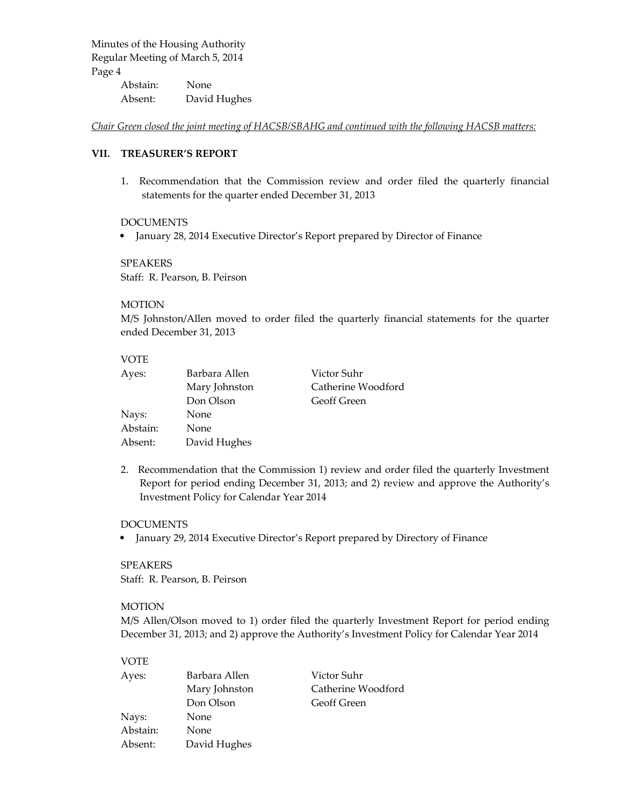Abstain: None Absent: David Hughes

*Chair Green closed the joint meeting of HACSB/SBAHG and continued with the following HACSB matters:*

## **VII. TREASURER'S REPORT**

1. Recommendation that the Commission review and order filed the quarterly financial statements for the quarter ended December 31, 2013

#### DOCUMENTS

• January 28, 2014 Executive Director's Report prepared by Director of Finance

#### SPEAKERS

Staff: R. Pearson, B. Peirson

## **MOTION**

M/S Johnston/Allen moved to order filed the quarterly financial statements for the quarter ended December 31, 2013

## VOTE

| Ayes:    | Barbara Allen | Victor Suhr        |  |
|----------|---------------|--------------------|--|
|          | Mary Johnston | Catherine Woodford |  |
|          | Don Olson     | <b>Geoff Green</b> |  |
| Nays:    | None          |                    |  |
| Abstain: | None          |                    |  |
| Absent:  | David Hughes  |                    |  |

2. Recommendation that the Commission 1) review and order filed the quarterly Investment Report for period ending December 31, 2013; and 2) review and approve the Authority's Investment Policy for Calendar Year 2014

#### DOCUMENTS

• January 29, 2014 Executive Director's Report prepared by Directory of Finance

#### SPEAKERS

Staff: R. Pearson, B. Peirson

#### MOTION

M/S Allen/Olson moved to 1) order filed the quarterly Investment Report for period ending December 31, 2013; and 2) approve the Authority's Investment Policy for Calendar Year 2014

## VOTE

| Ayes:    | Barbara Allen | Victor Suhr        |  |
|----------|---------------|--------------------|--|
|          | Mary Johnston | Catherine Woodford |  |
|          | Don Olson     | <b>Geoff Green</b> |  |
| Nays:    | None          |                    |  |
| Abstain: | None          |                    |  |
| Absent:  | David Hughes  |                    |  |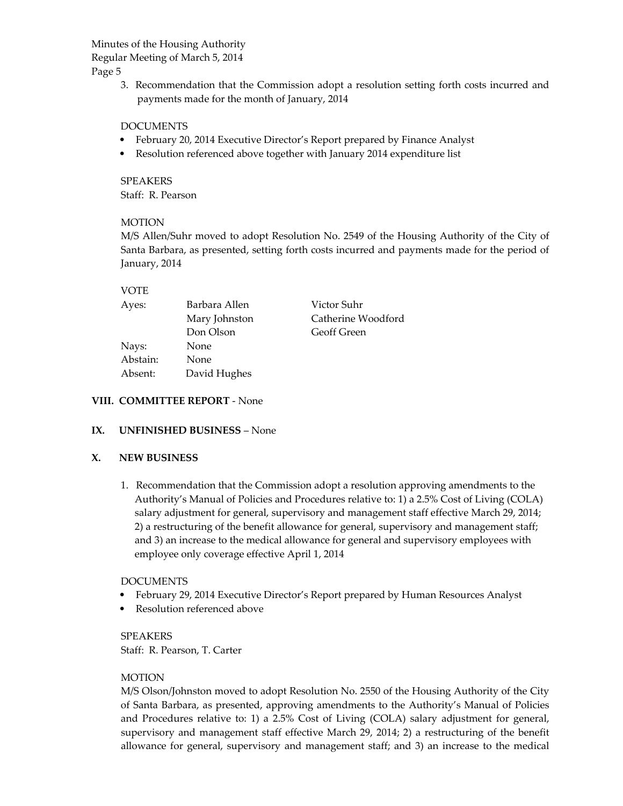Page 5

3. Recommendation that the Commission adopt a resolution setting forth costs incurred and payments made for the month of January, 2014

#### DOCUMENTS

- February 20, 2014 Executive Director's Report prepared by Finance Analyst
- Resolution referenced above together with January 2014 expenditure list

SPEAKERS Staff: R. Pearson

#### **MOTION**

M/S Allen/Suhr moved to adopt Resolution No. 2549 of the Housing Authority of the City of Santa Barbara, as presented, setting forth costs incurred and payments made for the period of January, 2014

#### VOTE

| Ayes:    | Barbara Allen | Victor Suhr        |
|----------|---------------|--------------------|
|          | Mary Johnston | Catherine Woodford |
|          | Don Olson     | <b>Geoff Green</b> |
| Nays:    | <b>None</b>   |                    |
| Abstain: | <b>None</b>   |                    |
| Absent:  | David Hughes  |                    |

#### **VIII. COMMITTEE REPORT** ‐ None

#### **IX. UNFINISHED BUSINESS** – None

#### **X. NEW BUSINESS**

1. Recommendation that the Commission adopt a resolution approving amendments to the Authority's Manual of Policies and Procedures relative to: 1) a 2.5% Cost of Living (COLA) salary adjustment for general, supervisory and management staff effective March 29, 2014; 2) a restructuring of the benefit allowance for general, supervisory and management staff; and 3) an increase to the medical allowance for general and supervisory employees with employee only coverage effective April 1, 2014

#### DOCUMENTS

- February 29, 2014 Executive Director's Report prepared by Human Resources Analyst
- Resolution referenced above

SPEAKERS Staff: R. Pearson, T. Carter

#### **MOTION**

M/S Olson/Johnston moved to adopt Resolution No. 2550 of the Housing Authority of the City of Santa Barbara, as presented, approving amendments to the Authority's Manual of Policies and Procedures relative to: 1) a 2.5% Cost of Living (COLA) salary adjustment for general, supervisory and management staff effective March 29, 2014; 2) a restructuring of the benefit allowance for general, supervisory and management staff; and 3) an increase to the medical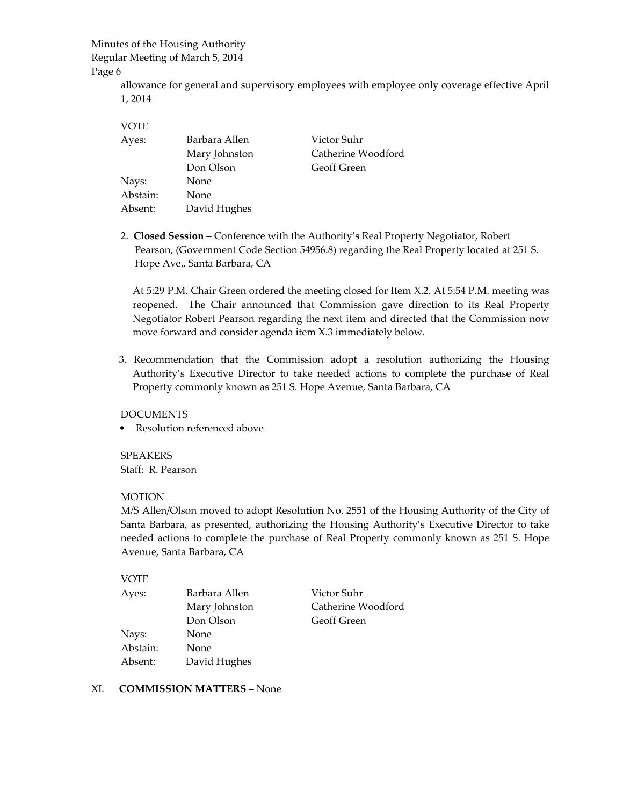# Minutes of the Housing Authority

Regular Meeting of March 5, 2014

#### Page 6

allowance for general and supervisory employees with employee only coverage effective April 1, 2014

| <b>VOTE</b> |               |                    |
|-------------|---------------|--------------------|
| Ayes:       | Barbara Allen | Victor Suhr        |
|             | Mary Johnston | Catherine Woodford |
|             | Don Olson     | <b>Geoff Green</b> |
| Nays:       | None          |                    |
| Abstain:    | None          |                    |
| Absent:     | David Hughes  |                    |

2. **Closed Session** – Conference with the Authority's Real Property Negotiator, Robert Pearson, (Government Code Section 54956.8) regarding the Real Property located at 251 S. Hope Ave., Santa Barbara, CA

At 5:29 P.M. Chair Green ordered the meeting closed for Item X.2. At 5:54 P.M. meeting was reopened. The Chair announced that Commission gave direction to its Real Property Negotiator Robert Pearson regarding the next item and directed that the Commission now move forward and consider agenda item X.3 immediately below.

3. Recommendation that the Commission adopt a resolution authorizing the Housing Authority's Executive Director to take needed actions to complete the purchase of Real Property commonly known as 251 S. Hope Avenue, Santa Barbara, CA

## DOCUMENTS

Resolution referenced above

SPEAKERS Staff: R. Pearson

## MOTION

M/S Allen/Olson moved to adopt Resolution No. 2551 of the Housing Authority of the City of Santa Barbara, as presented, authorizing the Housing Authority's Executive Director to take needed actions to complete the purchase of Real Property commonly known as 251 S. Hope Avenue, Santa Barbara, CA

## VOTE

| Ayes:    | Barbara Allen | Victor Suhr        |  |
|----------|---------------|--------------------|--|
|          | Mary Johnston | Catherine Woodford |  |
|          | Don Olson     | <b>Geoff Green</b> |  |
| Nays:    | None          |                    |  |
| Abstain: | None          |                    |  |
| Absent:  | David Hughes  |                    |  |

## XI. **COMMISSION MATTERS** – None